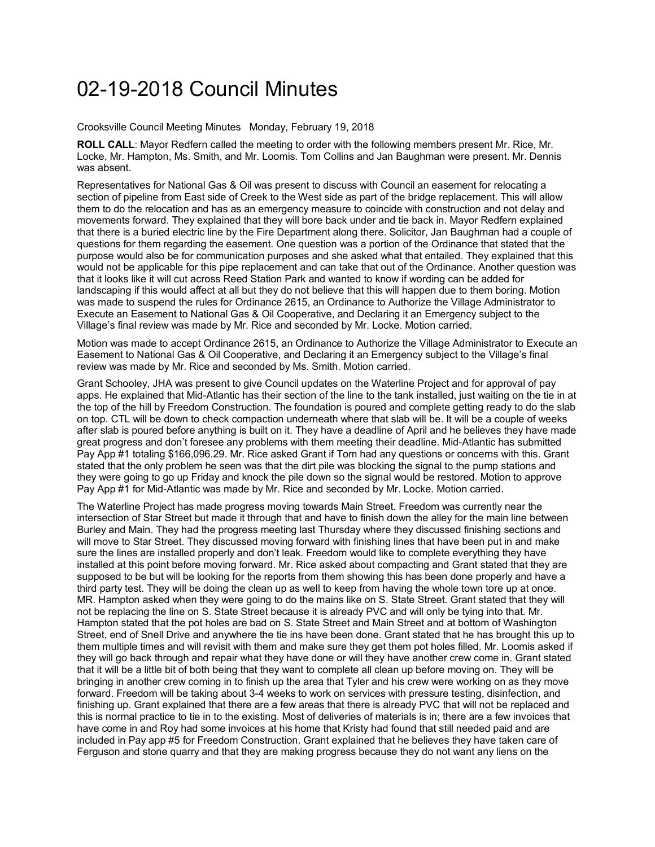## 02-19-2018 Council Minutes

Crooksville Council Meeting Minutes Monday, February 19, 2018

**ROLL CALL**: Mayor Redfern called the meeting to order with the following members present Mr. Rice, Mr. Locke, Mr. Hampton, Ms. Smith, and Mr. Loomis. Tom Collins and Jan Baughman were present. Mr. Dennis was absent.

Representatives for National Gas & Oil was present to discuss with Council an easement for relocating a section of pipeline from East side of Creek to the West side as part of the bridge replacement. This will allow them to do the relocation and has as an emergency measure to coincide with construction and not delay and movements forward. They explained that they will bore back under and tie back in. Mayor Redfern explained that there is a buried electric line by the Fire Department along there. Solicitor, Jan Baughman had a couple of questions for them regarding the easement. One question was a portion of the Ordinance that stated that the purpose would also be for communication purposes and she asked what that entailed. They explained that this would not be applicable for this pipe replacement and can take that out of the Ordinance. Another question was that it looks like it will cut across Reed Station Park and wanted to know if wording can be added for landscaping if this would affect at all but they do not believe that this will happen due to them boring. Motion was made to suspend the rules for Ordinance 2615, an Ordinance to Authorize the Village Administrator to Execute an Easement to National Gas & Oil Cooperative, and Declaring it an Emergency subject to the Village's final review was made by Mr. Rice and seconded by Mr. Locke. Motion carried.

Motion was made to accept Ordinance 2615, an Ordinance to Authorize the Village Administrator to Execute an Easement to National Gas & Oil Cooperative, and Declaring it an Emergency subject to the Village's final review was made by Mr. Rice and seconded by Ms. Smith. Motion carried.

Grant Schooley, JHA was present to give Council updates on the Waterline Project and for approval of pay apps. He explained that Mid-Atlantic has their section of the line to the tank installed, just waiting on the tie in at the top of the hill by Freedom Construction. The foundation is poured and complete getting ready to do the slab on top. CTL will be down to check compaction underneath where that slab will be. It will be a couple of weeks after slab is poured before anything is built on it. They have a deadline of April and he believes they have made great progress and don't foresee any problems with them meeting their deadline. Mid-Atlantic has submitted Pay App #1 totaling \$166,096.29. Mr. Rice asked Grant if Tom had any questions or concerns with this. Grant stated that the only problem he seen was that the dirt pile was blocking the signal to the pump stations and they were going to go up Friday and knock the pile down so the signal would be restored. Motion to approve Pay App #1 for Mid-Atlantic was made by Mr. Rice and seconded by Mr. Locke. Motion carried.

The Waterline Project has made progress moving towards Main Street. Freedom was currently near the intersection of Star Street but made it through that and have to finish down the alley for the main line between Burley and Main. They had the progress meeting last Thursday where they discussed finishing sections and will move to Star Street. They discussed moving forward with finishing lines that have been put in and make sure the lines are installed properly and don't leak. Freedom would like to complete everything they have installed at this point before moving forward. Mr. Rice asked about compacting and Grant stated that they are supposed to be but will be looking for the reports from them showing this has been done properly and have a third party test. They will be doing the clean up as well to keep from having the whole town tore up at once. MR. Hampton asked when they were going to do the mains like on S. State Street. Grant stated that they will not be replacing the line on S. State Street because it is already PVC and will only be tying into that. Mr. Hampton stated that the pot holes are bad on S. State Street and Main Street and at bottom of Washington Street, end of Snell Drive and anywhere the tie ins have been done. Grant stated that he has brought this up to them multiple times and will revisit with them and make sure they get them pot holes filled. Mr. Loomis asked if they will go back through and repair what they have done or will they have another crew come in. Grant stated that it will be a little bit of both being that they want to complete all clean up before moving on. They will be bringing in another crew coming in to finish up the area that Tyler and his crew were working on as they move forward. Freedom will be taking about 3-4 weeks to work on services with pressure testing, disinfection, and finishing up. Grant explained that there are a few areas that there is already PVC that will not be replaced and this is normal practice to tie in to the existing. Most of deliveries of materials is in; there are a few invoices that have come in and Roy had some invoices at his home that Kristy had found that still needed paid and are included in Pay app #5 for Freedom Construction. Grant explained that he believes they have taken care of Ferguson and stone quarry and that they are making progress because they do not want any liens on the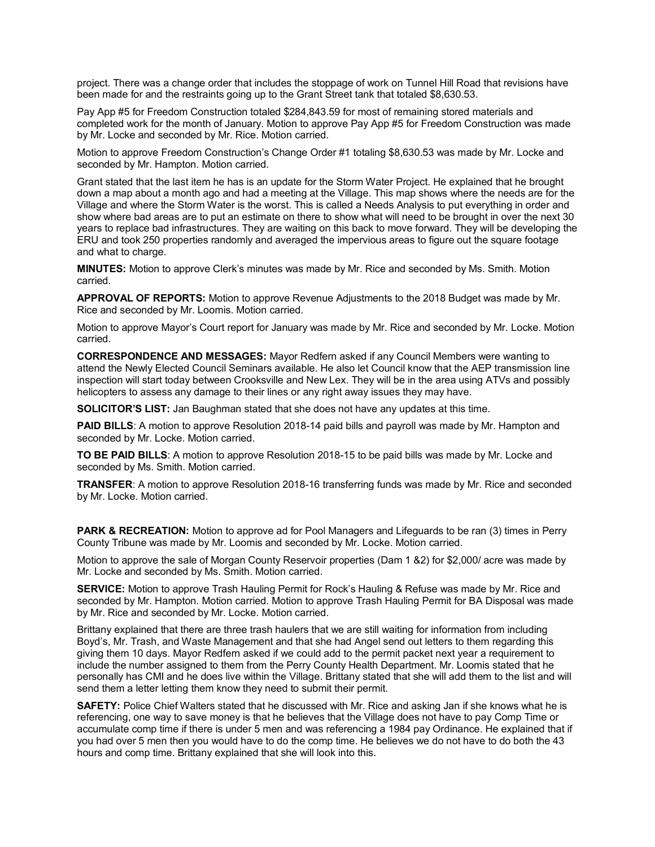project. There was a change order that includes the stoppage of work on Tunnel Hill Road that revisions have been made for and the restraints going up to the Grant Street tank that totaled \$8,630.53.

Pay App #5 for Freedom Construction totaled \$284,843.59 for most of remaining stored materials and completed work for the month of January. Motion to approve Pay App #5 for Freedom Construction was made by Mr. Locke and seconded by Mr. Rice. Motion carried.

Motion to approve Freedom Construction's Change Order #1 totaling \$8,630.53 was made by Mr. Locke and seconded by Mr. Hampton. Motion carried.

Grant stated that the last item he has is an update for the Storm Water Project. He explained that he brought down a map about a month ago and had a meeting at the Village. This map shows where the needs are for the Village and where the Storm Water is the worst. This is called a Needs Analysis to put everything in order and show where bad areas are to put an estimate on there to show what will need to be brought in over the next 30 years to replace bad infrastructures. They are waiting on this back to move forward. They will be developing the ERU and took 250 properties randomly and averaged the impervious areas to figure out the square footage and what to charge.

**MINUTES:** Motion to approve Clerk's minutes was made by Mr. Rice and seconded by Ms. Smith. Motion carried.

**APPROVAL OF REPORTS:** Motion to approve Revenue Adjustments to the 2018 Budget was made by Mr. Rice and seconded by Mr. Loomis. Motion carried.

Motion to approve Mayor's Court report for January was made by Mr. Rice and seconded by Mr. Locke. Motion carried.

**CORRESPONDENCE AND MESSAGES:** Mayor Redfern asked if any Council Members were wanting to attend the Newly Elected Council Seminars available. He also let Council know that the AEP transmission line inspection will start today between Crooksville and New Lex. They will be in the area using ATVs and possibly helicopters to assess any damage to their lines or any right away issues they may have.

**SOLICITOR'S LIST:** Jan Baughman stated that she does not have any updates at this time.

**PAID BILLS**: A motion to approve Resolution 2018-14 paid bills and payroll was made by Mr. Hampton and seconded by Mr. Locke. Motion carried.

**TO BE PAID BILLS**: A motion to approve Resolution 2018-15 to be paid bills was made by Mr. Locke and seconded by Ms. Smith. Motion carried.

**TRANSFER**: A motion to approve Resolution 2018-16 transferring funds was made by Mr. Rice and seconded by Mr. Locke. Motion carried.

**PARK & RECREATION:** Motion to approve ad for Pool Managers and Lifeguards to be ran (3) times in Perry County Tribune was made by Mr. Loomis and seconded by Mr. Locke. Motion carried.

Motion to approve the sale of Morgan County Reservoir properties (Dam 1 &2) for \$2,000/ acre was made by Mr. Locke and seconded by Ms. Smith. Motion carried.

**SERVICE:** Motion to approve Trash Hauling Permit for Rock's Hauling & Refuse was made by Mr. Rice and seconded by Mr. Hampton. Motion carried. Motion to approve Trash Hauling Permit for BA Disposal was made by Mr. Rice and seconded by Mr. Locke. Motion carried.

Brittany explained that there are three trash haulers that we are still waiting for information from including Boyd's, Mr. Trash, and Waste Management and that she had Angel send out letters to them regarding this giving them 10 days. Mayor Redfern asked if we could add to the permit packet next year a requirement to include the number assigned to them from the Perry County Health Department. Mr. Loomis stated that he personally has CMI and he does live within the Village. Brittany stated that she will add them to the list and will send them a letter letting them know they need to submit their permit.

**SAFETY:** Police Chief Walters stated that he discussed with Mr. Rice and asking Jan if she knows what he is referencing, one way to save money is that he believes that the Village does not have to pay Comp Time or accumulate comp time if there is under 5 men and was referencing a 1984 pay Ordinance. He explained that if you had over 5 men then you would have to do the comp time. He believes we do not have to do both the 43 hours and comp time. Brittany explained that she will look into this.